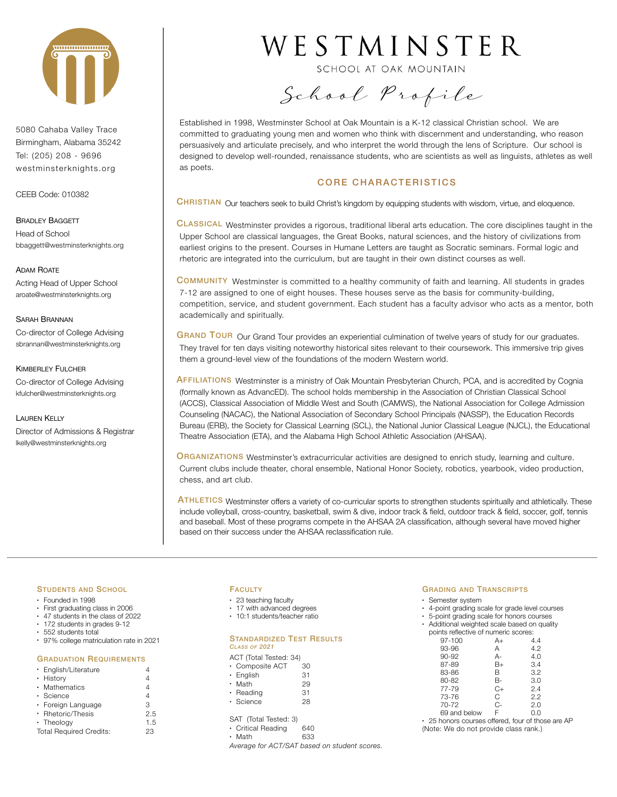

5080 Cahaba Valley Trace Birmingham, Alabama 35242 Tel: (205) 208 - 9696 westminsterknights.org

CEEB Code: 010382

BRADLEY BAGGETT Head of School bbaggett@westminsterknights.org

ADAM ROATE Acting Head of Upper School aroate@westminsterknights.org

# SARAH BRANNAN

Co-director of College Advising sbrannan@westminsterknights.org

KIMBERLEY FULCHER Co-director of College Advising kfulcher@westminsterknights.org

LAUREN KELLY Director of Admissions & Registrar lkelly@westminsterknights.org

# WESTMINSTER

SCHOOL AT OAK MOUNTAIN

School Profile

Established in 1998, Westminster School at Oak Mountain is a K-12 classical Christian school. We are committed to graduating young men and women who think with discernment and understanding, who reason persuasively and articulate precisely, and who interpret the world through the lens of Scripture. Our school is designed to develop well-rounded, renaissance students, who are scientists as well as linguists, athletes as well as poets.

# CORE CHARACTERISTICS

CHRISTIAN Our teachers seek to build Christ's kingdom by equipping students with wisdom, virtue, and eloquence.

CLASSICAL Westminster provides a rigorous, traditional liberal arts education. The core disciplines taught in the Upper School are classical languages, the Great Books, natural sciences, and the history of civilizations from earliest origins to the present. Courses in Humane Letters are taught as Socratic seminars. Formal logic and rhetoric are integrated into the curriculum, but are taught in their own distinct courses as well.

COMMUNITY Westminster is committed to a healthy community of faith and learning. All students in grades 7-12 are assigned to one of eight houses. These houses serve as the basis for community-building, competition, service, and student government. Each student has a faculty advisor who acts as a mentor, both academically and spiritually.

GRAND TOUR Our Grand Tour provides an experiential culmination of twelve years of study for our graduates. They travel for ten days visiting noteworthy historical sites relevant to their coursework. This immersive trip gives them a ground-level view of the foundations of the modern Western world.

AFFILIATIONS Westminster is a ministry of Oak Mountain Presbyterian Church, PCA, and is accredited by Cognia (formally known as AdvancED). The school holds membership in the Association of Christian Classical School (ACCS), Classical Association of Middle West and South (CAMWS), the National Association for College Admission Counseling (NACAC), the National Association of Secondary School Principals (NASSP), the Education Records Bureau (ERB), the Society for Classical Learning (SCL), the National Junior Classical League (NJCL), the Educational Theatre Association (ETA), and the Alabama High School Athletic Association (AHSAA).

ORGANIZATIONS Westminster's extracurricular activities are designed to enrich study, learning and culture. Current clubs include theater, choral ensemble, National Honor Society, robotics, yearbook, video production, chess, and art club.

ATHLETICS Westminster offers a variety of co-curricular sports to strengthen students spiritually and athletically. These include volleyball, cross-country, basketball, swim & dive, indoor track & field, outdoor track & field, soccer, golf, tennis and baseball. Most of these programs compete in the AHSAA 2A classification, although several have moved higher based on their success under the AHSAA reclassification rule.

# STUDENTS AND SCHOOL

- Founded in 1998
- First graduating class in 2006
- 47 students in the class of 2022
- 172 students in grades 9-12 • 552 students total
- 97% college matriculation rate in 2021
- 

# GRADUATION REQUIREMENTS

| • English/Literature           |     |
|--------------------------------|-----|
| • History                      |     |
| • Mathematics                  |     |
| $\cdot$ Science                | 4   |
| · Foreign Language             | З   |
| • Rhetoric/Thesis              | 2.5 |
| • Theology                     | 1.5 |
| <b>Total Required Credits:</b> | 23  |

# **FACULTY**

- 23 teaching faculty
- 17 with advanced degrees
- 10:1 students/teacher ratio

#### STANDARDIZED TEST RESULTS *CLASS OF 2021*

|                      | ACT (Total Tested: 34) |    |
|----------------------|------------------------|----|
|                      | • Composite ACT        | 30 |
| $\ddot{\phantom{0}}$ | English                | 31 |
|                      | Math                   | 29 |
| ۰                    | Reading                | 31 |

• Science 28

#### SAT (Total Tested: 3) • Critical Reading 640

• Math 633

*Average for ACT/SAT based on student scores.*

# GRADING AND TRANSCRIPTS

• Semester system

- 4-point grading scale for grade level courses
- 5-point grading scale for honors courses
- Additional weighted scale based on quality points reflective of numeric scores:

| <u>, pointe romootive or mailleno oo </u> |      |     |
|-------------------------------------------|------|-----|
| 97-100                                    | A+   | 4.4 |
| 93-96                                     | А    | 4.2 |
| 90-92                                     | А-   | 4.0 |
| 87-89                                     | $B+$ | 3.4 |
| 83-86                                     | в    | 3.2 |
| 80-82                                     | В-   | 3.0 |
| 77-79                                     | $C+$ | 2.4 |
| 73-76                                     | C    | 2.2 |
| 70-72                                     | $C-$ | 2.0 |
| 69 and below                              | F    | 0.0 |
|                                           |      |     |

• 25 honors courses offered, four of those are AP (Note: We do not provide class rank.)